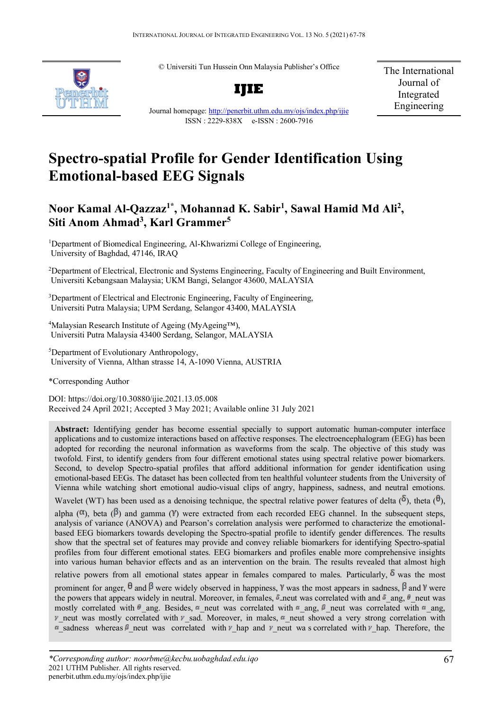© Universiti Tun Hussein Onn Malaysia Publisher's Office



**IJIE**

The International Journal of Integrated Engineering

Journal homepage:<http://penerbit.uthm.edu.my/ojs/index.php/ijie> ISSN : 2229-838X e-ISSN : 2600-7916

# **Spectro-spatial Profile for Gender Identification Using Emotional-based EEG Signals**

# **Noor Kamal Al-Qazzaz1\* , Mohannad K. Sabir1 , Sawal Hamid Md Ali2 , Siti Anom Ahmad3 , Karl Grammer5**

<sup>1</sup>Department of Biomedical Engineering, Al-Khwarizmi College of Engineering, University of Baghdad, 47146, IRAQ

<sup>2</sup>Department of Electrical, Electronic and Systems Engineering, Faculty of Engineering and Built Environment, Universiti Kebangsaan Malaysia; UKM Bangi, Selangor 43600, MALAYSIA

<sup>3</sup>Department of Electrical and Electronic Engineering, Faculty of Engineering, Universiti Putra Malaysia; UPM Serdang, Selangor 43400, MALAYSIA

<sup>4</sup>Malaysian Research Institute of Ageing (MyAgeing™), Universiti Putra Malaysia 43400 Serdang, Selangor, MALAYSIA

5 Department of Evolutionary Anthropology, University of Vienna[, Althan strasse 14, A-1090 Vienna, AUSTRIA](https://maps.google.com/?q=Althanstrasse+14+A-1090+Vienna+/+Austria&entry=gmail&source=g)

\*Corresponding Author

DOI: https://doi.org/10.30880/ijie.2021.13.05.008 Received 24 April 2021; Accepted 3 May 2021; Available online 31 July 2021

**Abstract:** Identifying gender has become essential specially to support automatic human-computer interface applications and to customize interactions based on affective responses. The electroencephalogram (EEG) has been adopted for recording the neuronal information as waveforms from the scalp. The objective of this study was twofold. First, to identify genders from four different emotional states using spectral relative power biomarkers. Second, to develop Spectro-spatial profiles that afford additional information for gender identification using emotional-based EEGs. The dataset has been collected from ten healthful volunteer students from the University of Vienna while watching short emotional audio-visual clips of angry, happiness, sadness, and neutral emotions. Wavelet (WT) has been used as a denoising technique, the spectral relative power features of delta  $(\delta)$ , theta  $(\theta)$ , alpha  $(\alpha)$ , beta  $(\beta)$  and gamma (Y) were extracted from each recorded EEG channel. In the subsequent steps, analysis of variance (ANOVA) and Pearson's correlation analysis were performed to characterize the emotionalbased EEG biomarkers towards developing the Spectro-spatial profile to identify gender differences. The results show that the spectral set of features may provide and convey reliable biomarkers for identifying Spectro-spatial profiles from four different emotional states. EEG biomarkers and profiles enable more comprehensive insights into various human behavior effects and as an intervention on the brain. The results revealed that almost high relative powers from all emotional states appear in females compared to males. Particularly,  $\delta$  was the most prominent for anger,  $\theta$  and  $\beta$  were widely observed in happiness, Y was the most appears in sadness,  $\beta$  and Y were the powers that appears widely in neutral. Moreover, in females,  $\bar{\phi}$ -neut was correlated with and  $\bar{\phi}$  ang,  $\bar{\theta}$  neut was mostly correlated with  $\theta$  ang. Besides,  $\alpha$  neut was correlated with  $\alpha$  ang,  $\beta$  neut was correlated with  $\alpha$  ang,  $\nu$  neut was mostly correlated with  $\nu$  sad. Moreover, in males,  $\nu$  neut showed a very strong correlation with as sadness whereas  $\beta$  neut was correlated with  $\nu$  hap and  $\nu$  neut was correlated with  $\nu$  hap. Therefore, the

*<sup>\*</sup>Corresponding author: noorbme@kecbu.uobaghdad.edu.iqo* 2021 UTHM Publisher. All rights reserved. penerbit.uthm.edu.my/ojs/index.php/ijie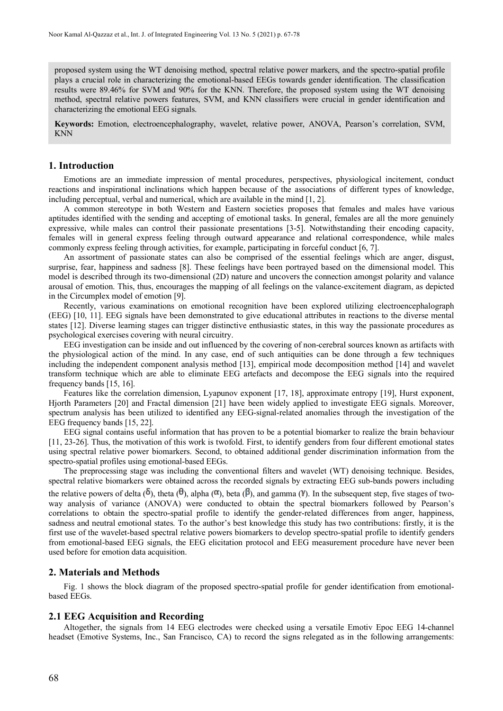proposed system using the WT denoising method, spectral relative power markers, and the spectro-spatial profile plays a crucial role in characterizing the emotional-based EEGs towards gender identification. The classification results were 89.46% for SVM and 90% for the KNN. Therefore, the proposed system using the WT denoising method, spectral relative powers features, SVM, and KNN classifiers were crucial in gender identification and characterizing the emotional EEG signals.

**Keywords:** Emotion, electroencephalography, wavelet, relative power, ANOVA, Pearson's correlation, SVM, KNN

#### **1. Introduction**

Emotions are an immediate impression of mental procedures, perspectives, physiological incitement, conduct reactions and inspirational inclinations which happen because of the associations of different types of knowledge, including perceptual, verbal and numerical, which are available in the mind [\[1,](#page-10-0) [2\]](#page-10-1).

A common stereotype in both Western and Eastern societies proposes that females and males have various aptitudes identified with the sending and accepting of emotional tasks. In general, females are all the more genuinely expressive, while males can control their passionate presentations [\[3-5\]](#page-10-2). Notwithstanding their encoding capacity, females will in general express feeling through outward appearance and relational correspondence, while males commonly express feeling through activities, for example, participating in forceful conduct [\[6,](#page-10-3) [7\]](#page-10-4).

An assortment of passionate states can also be comprised of the essential feelings which are anger, disgust, surprise, fear, happiness and sadness [\[8\]](#page-10-5). These feelings have been portrayed based on the dimensional model. This model is described through its two-dimensional (2D) nature and uncovers the connection amongst polarity and valance arousal of emotion. This, thus, encourages the mapping of all feelings on the valance-excitement diagram, as depicted in the Circumplex model of emotion [\[9\]](#page-10-6).

Recently, various examinations on emotional recognition have been explored utilizing electroencephalograph (EEG) [\[10,](#page-10-7) [11\]](#page-10-8). EEG signals have been demonstrated to give educational attributes in reactions to the diverse mental states [\[12\]](#page-10-9). Diverse learning stages can trigger distinctive enthusiastic states, in this way the passionate procedures as psychological exercises covering with neural circuitry.

EEG investigation can be inside and out influenced by the covering of non-cerebral sources known as artifacts with the physiological action of the mind. In any case, end of such antiquities can be done through a few techniques including the independent component analysis method [\[13\]](#page-10-10), empirical mode decomposition method [\[14\]](#page-10-11) and wavelet transform technique which are able to eliminate EEG artefacts and decompose the EEG signals into the required frequency bands [\[15,](#page-10-12) [16\]](#page-10-13).

Features like the correlation dimension, Lyapunov exponent [\[17,](#page-10-14) [18\]](#page-10-15), approximate entropy [\[19\]](#page-10-16), Hurst exponent, Hjorth Parameters [\[20\]](#page-10-17) and Fractal dimension [\[21\]](#page-11-0) have been widely applied to investigate EEG signals. Moreover, spectrum analysis has been utilized to identified any EEG-signal-related anomalies through the investigation of the EEG frequency bands [\[15,](#page-10-12) [22\]](#page-11-1).

EEG signal contains useful information that has proven to be a potential biomarker to realize the brain behaviour [\[11,](#page-10-8) [23-26\]](#page-11-2). Thus, the motivation of this work is twofold. First, to identify genders from four different emotional states using spectral relative power biomarkers. Second, to obtained additional gender discrimination information from the spectro-spatial profiles using emotional-based EEGs.

The preprocessing stage was including the conventional filters and wavelet (WT) denoising technique. Besides, spectral relative biomarkers were obtained across the recorded signals by extracting EEG sub-bands powers including the relative powers of delta  $(\delta)$ , theta  $(\theta)$ , alpha  $(\alpha)$ , beta  $(\beta)$ , and gamma  $(\gamma)$ . In the subsequent step, five stages of twoway analysis of variance (ANOVA) were conducted to obtain the spectral biomarkers followed by Pearson's correlations to obtain the spectro-spatial profile to identify the gender-related differences from anger, happiness, sadness and neutral emotional states. To the author's best knowledge this study has two contributions: firstly, it is the first use of the wavelet-based spectral relative powers biomarkers to develop spectro-spatial profile to identify genders from emotional-based EEG signals, the EEG elicitation protocol and EEG measurement procedure have never been used before for emotion data acquisition.

#### **2. Materials and Methods**

Fig. 1 shows the block diagram of the proposed spectro-spatial profile for gender identification from emotionalbased EEGs.

#### **2.1 EEG Acquisition and Recording**

Altogether, the signals from 14 EEG electrodes were checked using a versatile Emotiv Epoc EEG 14-channel headset (Emotive Systems, Inc., San Francisco, CA) to record the signs relegated as in the following arrangements: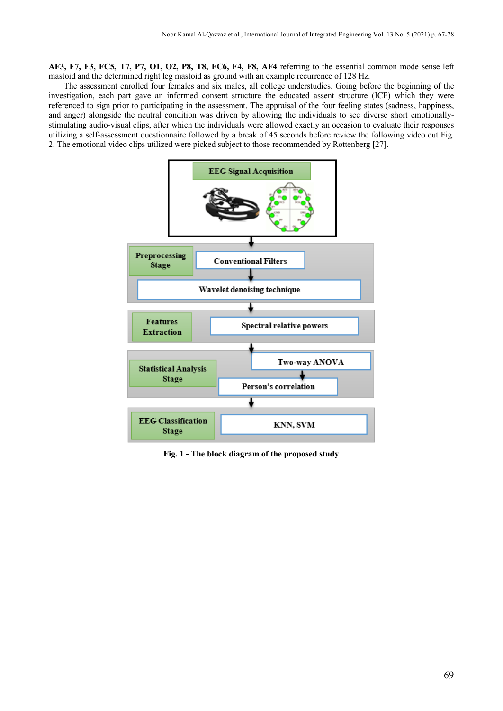**AF3, F7, F3, FC5, T7, P7, O1, O2, P8, T8, FC6, F4, F8, AF4** referring to the essential common mode sense left mastoid and the determined right leg mastoid as ground with an example recurrence of 128 Hz.

The assessment enrolled four females and six males, all college understudies. Going before the beginning of the investigation, each part gave an informed consent structure the educated assent structure (ICF) which they were referenced to sign prior to participating in the assessment. The appraisal of the four feeling states (sadness, happiness, and anger) alongside the neutral condition was driven by allowing the individuals to see diverse short emotionallystimulating audio-visual clips, after which the individuals were allowed exactly an occasion to evaluate their responses utilizing a self-assessment questionnaire followed by a break of 45 seconds before review the following video cut Fig. 2. The emotional video clips utilized were picked subject to those recommended by Rottenberg [\[27\]](#page-11-3).



**Fig. 1 - The block diagram of the proposed study**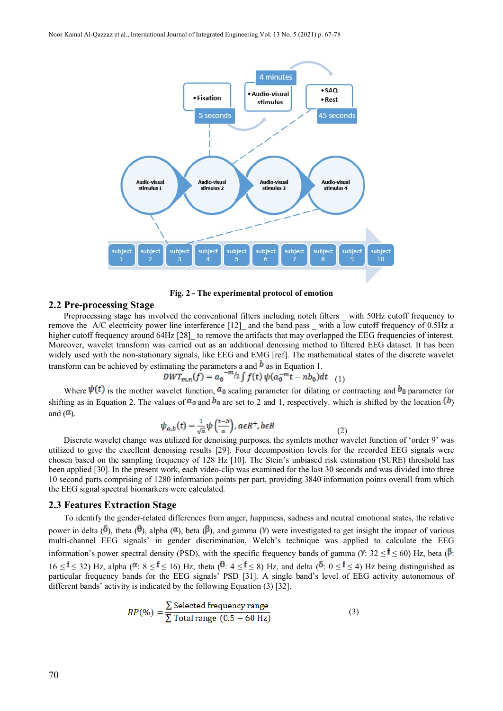

**Fig. 2 - The experimental protocol of emotion**

#### **2.2 Pre-processing Stage**

Preprocessing stage has involved the conventional filters including notch filters with 50Hz cutoff frequency to remove the A/C electricity power line interference [\[12\]](#page-10-9) and the band pass with a low cutoff frequency of 0.5Hz a higher cutoff frequency around 64Hz [\[28\]](#page-11-4) to remove the artifacts that may overlapped the EEG frequencies of interest. Moreover, wavelet transform was carried out as an additional denoising method to filtered EEG dataset. It has been widely used with the non-stationary signals, like EEG and EMG [ref]. The mathematical states of the discrete wavelet transform can be achieved by estimating the parameters a and  $\bm{b}$  as in Equation 1.

$$
DWT_{m,n}(f) = a_0^{-m/2} \int f(t) \psi(a_0^{-m}t - nb_0) dt
$$
 (1)

Where  $\psi(t)$  is the mother wavelet function,  $a_0$  scaling parameter for dilating or contracting and  $b_0$  parameter for shifting as in Equation 2. The values of  $a_0$  and  $b_0$  are set to 2 and 1, respectively. which is shifted by the location  $(b)$ and  $(\mathbf{a})$ .

$$
\psi_{a,b}(t) = \frac{1}{\sqrt{a}} \psi\left(\frac{t-b}{a}\right), a \in R^+, b \in R
$$
\n(2)

Discrete wavelet change was utilized for denoising purposes, the symlets mother wavelet function of 'order 9' was utilized to give the excellent denoising results [\[29\]](#page-11-5). Four decomposition levels for the recorded EEG signals were chosen based on the sampling frequency of 128 Hz [\[10\]](#page-10-7). The Stein's unbiased risk estimation (SURE) threshold has been applied [\[30\]](#page-11-6). In the present work, each video-clip was examined for the last 30 seconds and was divided into three 10 second parts comprising of 1280 information points per part, providing 3840 information points overall from which the EEG signal spectral biomarkers were calculated.

#### **2.3 Features Extraction Stage**

To identify the gender-related differences from anger, happiness, sadness and neutral emotional states, the relative power in delta  $(\delta)$ , theta  $(\theta)$ , alpha  $(\alpha)$ , beta  $(\beta)$ , and gamma  $(\gamma)$  were investigated to get insight the impact of various multi-channel EEG signals' in gender discrimination, Welch's technique was applied to calculate the EEG information's power spectral density (PSD), with the specific frequency bands of gamma ( $V: 32 \leq \ell \leq 60$ ) Hz, beta ( $\ell$ :  $16 \leq \hat{t} \leq 32$ ) Hz, alpha ( $\alpha$ :  $8 \leq \hat{t} \leq 16$ ) Hz, theta ( $\theta$ :  $4 \leq \hat{t} \leq 8$ ) Hz, and delta ( $\delta$ :  $0 \leq \hat{t} \leq 4$ ) Hz being distinguished as particular frequency bands for the EEG signals' PSD [\[31\]](#page-11-7). A single band's level of EEG activity autonomous of different bands' activity is indicated by the following Equation (3) [\[32\]](#page-11-8).

$$
RP(\%) = \frac{\sum \text{Selected frequency range}}{\sum \text{Total range} (0.5 - 60 \text{ Hz})}
$$
 (3)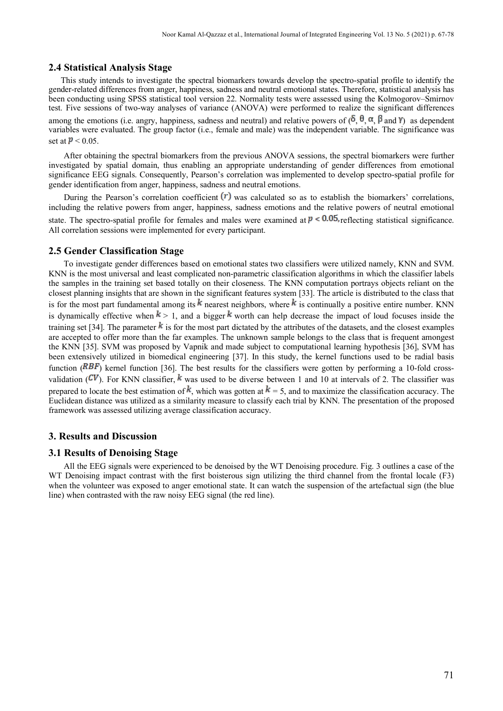#### **2.4 Statistical Analysis Stage**

This study intends to investigate the spectral biomarkers towards develop the spectro-spatial profile to identify the gender-related differences from anger, happiness, sadness and neutral emotional states. Therefore, statistical analysis has been conducting using SPSS statistical tool version 22. Normality tests were assessed using the Kolmogorov–Smirnov test. Five sessions of two-way analyses of variance (ANOVA) were performed to realize the significant differences among the emotions (i.e. angry, happiness, sadness and neutral) and relative powers of  $(\delta, \theta, \alpha, \beta, \alpha)$  as dependent variables were evaluated. The group factor (i.e., female and male) was the independent variable. The significance was set at  $P < 0.05$ .

After obtaining the spectral biomarkers from the previous ANOVA sessions, the spectral biomarkers were further investigated by spatial domain, thus enabling an appropriate understanding of gender differences from emotional significance EEG signals. Consequently, Pearson's correlation was implemented to develop spectro-spatial profile for gender identification from anger, happiness, sadness and neutral emotions.

During the Pearson's correlation coefficient  $(r)$  was calculated so as to establish the biomarkers' correlations, including the relative powers from anger, happiness, sadness emotions and the relative powers of neutral emotional state. The spectro-spatial profile for females and males were examined at  $p < 0.05$ , reflecting statistical significance. All correlation sessions were implemented for every participant.

#### **2.5 Gender Classification Stage**

To investigate gender differences based on emotional states two classifiers were utilized namely, KNN and SVM. KNN is the most universal and least complicated non-parametric classification algorithms in which the classifier labels the samples in the training set based totally on their closeness. The KNN computation portrays objects reliant on the closest planning insights that are shown in the significant features system [\[33\]](#page-11-9). The article is distributed to the class that is for the most part fundamental among its  $k$  nearest neighbors, where  $k$  is continually a positive entire number. KNN is dynamically effective when  $k > 1$ , and a bigger k worth can help decrease the impact of loud focuses inside the training set [\[34\]](#page-11-10). The parameter  $\frac{k}{s}$  is for the most part dictated by the attributes of the datasets, and the closest examples are accepted to offer more than the far examples. The unknown sample belongs to the class that is frequent amongest the KNN [\[35\]](#page-11-11). SVM was proposed by Vapnik and made subject to computational learning hypothesis [\[36\]](#page-11-12), SVM has been extensively utilized in biomedical engineering [\[37\]](#page-11-13). In this study, the kernel functions used to be radial basis function ( $RBF$ ) kernel function [\[36\]](#page-11-12). The best results for the classifiers were gotten by performing a 10-fold crossvalidation ( $CV$ ). For KNN classifier, k was used to be diverse between 1 and 10 at intervals of 2. The classifier was prepared to locate the best estimation of k, which was gotten at  $k = 5$ , and to maximize the classification accuracy. The Euclidean distance was utilized as a similarity measure to classify each trial by KNN. The presentation of the proposed framework was assessed utilizing average classification accuracy.

### **3. Results and Discussion**

#### **3.1 Results of Denoising Stage**

All the EEG signals were experienced to be denoised by the WT Denoising procedure. Fig. 3 outlines a case of the WT Denoising impact contrast with the first boisterous sign utilizing the third channel from the frontal locale (F3) when the volunteer was exposed to anger emotional state. It can watch the suspension of the artefactual sign (the blue line) when contrasted with the raw noisy EEG signal (the red line).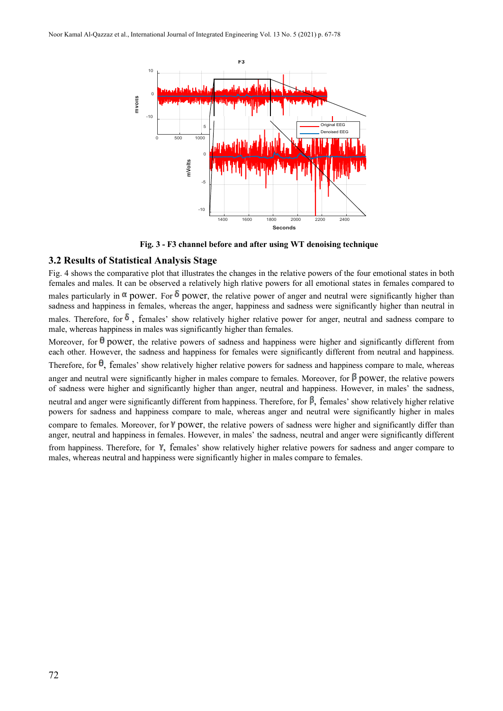

**Fig. 3 - F3 channel before and after using WT denoising technique**

# **3.2 Results of Statistical Analysis Stage**

Fig. 4 shows the comparative plot that illustrates the changes in the relative powers of the four emotional states in both females and males. It can be observed a relatively high rlative powers for all emotional states in females compared to males particularly in  $\alpha$  power. For  $\delta$  power, the relative power of anger and neutral were significantly higher than sadness and happiness in females, whereas the anger, happiness and sadness were significantly higher than neutral in males. Therefore, for  $\delta$ , females' show relatively higher relative power for anger, neutral and sadness compare to male, whereas happiness in males was significantly higher than females.

Moreover, for  $\theta$  power, the relative powers of sadness and happiness were higher and significantly different from each other. However, the sadness and happiness for females were significantly different from neutral and happiness. Therefore, for  $\theta$ , females' show relatively higher relative powers for sadness and happiness compare to male, whereas anger and neutral were significantly higher in males compare to females. Moreover, for  $\beta$  power, the relative powers of sadness were higher and significantly higher than anger, neutral and happiness. However, in males' the sadness, neutral and anger were significantly different from happiness. Therefore, for  $\beta$ , females' show relatively higher relative powers for sadness and happiness compare to male, whereas anger and neutral were significantly higher in males compare to females. Moreover, for Y power, the relative powers of sadness were higher and significantly differ than anger, neutral and happiness in females. However, in males' the sadness, neutral and anger were significantly different from happiness. Therefore, for  $\gamma$ , females' show relatively higher relative powers for sadness and anger compare to males, whereas neutral and happiness were significantly higher in males compare to females.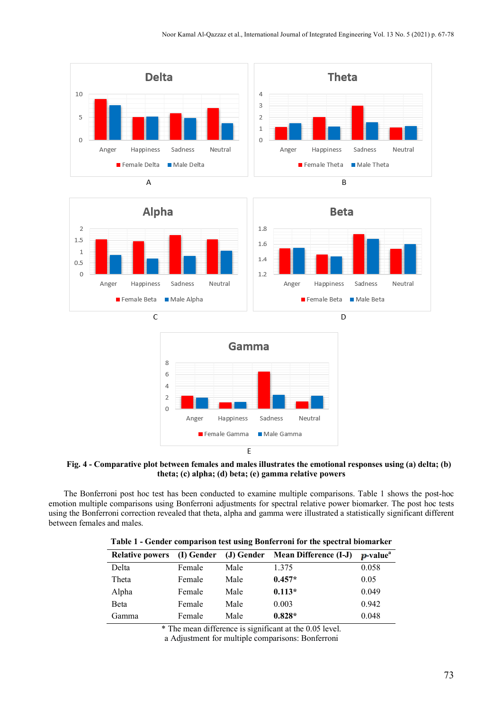

**Fig. 4 - Comparative plot between females and males illustrates the emotional responses using (a) delta; (b) theta; (c) alpha; (d) beta; (e) gamma relative powers**

The Bonferroni post hoc test has been conducted to examine multiple comparisons. Table 1 shows the post-hoc emotion multiple comparisons using Bonferroni adjustments for spectral relative power biomarker. The post hoc tests using the Bonferroni correction revealed that theta, alpha and gamma were illustrated a statistically significant different between females and males.

|  |  |  | Table 1 - Gender comparison test using Bonferroni for the spectral biomarker |  |
|--|--|--|------------------------------------------------------------------------------|--|
|--|--|--|------------------------------------------------------------------------------|--|

| <b>Relative powers</b> | (I) Gender |      | (J) Gender Mean Difference (I-J) | p-value <sup>a</sup> |
|------------------------|------------|------|----------------------------------|----------------------|
| Delta                  | Female     | Male | 1.375                            | 0.058                |
| Theta                  | Female     | Male | $0.457*$                         | 0.05                 |
| Alpha                  | Female     | Male | $0.113*$                         | 0.049                |
| Beta                   | Female     | Male | 0.003                            | 0.942                |
| Gamma                  | Female     | Male | $0.828*$                         | 0.048                |

\* The mean difference is significant at the 0.05 level.

a Adjustment for multiple comparisons: Bonferroni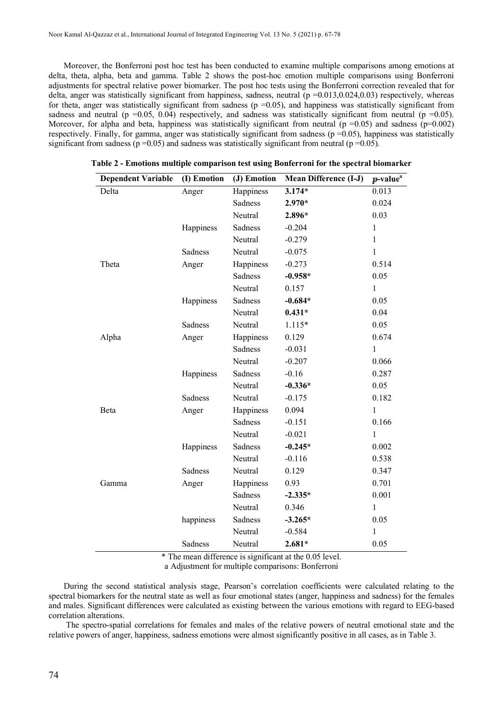Moreover, the Bonferroni post hoc test has been conducted to examine multiple comparisons among emotions at delta, theta, alpha, beta and gamma. Table 2 shows the post-hoc emotion multiple comparisons using Bonferroni adjustments for spectral relative power biomarker. The post hoc tests using the Bonferroni correction revealed that for delta, anger was statistically significant from happiness, sadness, neutral  $(p=0.013,0.024,0.03)$  respectively, whereas for theta, anger was statistically significant from sadness ( $p = 0.05$ ), and happiness was statistically significant from sadness and neutral (p =0.05, 0.04) respectively, and sadness was statistically significant from neutral (p =0.05). Moreover, for alpha and beta, happiness was statistically significant from neutral  $(p=0.05)$  and sadness  $(p=0.002)$ respectively. Finally, for gamma, anger was statistically significant from sadness ( $p = 0.05$ ), happiness was statistically significant from sadness ( $p = 0.05$ ) and sadness was statistically significant from neutral ( $p = 0.05$ ).

| <b>Dependent Variable</b> | (I) Emotion | (J) Emotion | <b>Mean Difference (I-J)</b> | p-value <sup>a</sup> |  |
|---------------------------|-------------|-------------|------------------------------|----------------------|--|
| Delta                     | Anger       | Happiness   | $3.174*$                     | 0.013                |  |
|                           |             | Sadness     | 2.970*                       | 0.024                |  |
|                           |             | Neutral     | 2.896*                       | 0.03                 |  |
|                           | Happiness   | Sadness     | $-0.204$                     | $\mathbf{1}$         |  |
|                           |             | Neutral     | $-0.279$                     | $\mathbf{1}$         |  |
|                           | Sadness     | Neutral     | $-0.075$                     | $\mathbf{1}$         |  |
| Theta                     | Anger       | Happiness   | $-0.273$                     | 0.514                |  |
|                           |             | Sadness     | $-0.958*$                    | 0.05                 |  |
|                           |             | Neutral     | 0.157                        | $\mathbf{1}$         |  |
|                           | Happiness   | Sadness     | $-0.684*$                    | 0.05                 |  |
|                           |             | Neutral     | $0.431*$                     | 0.04                 |  |
|                           | Sadness     | Neutral     | $1.115*$                     | 0.05                 |  |
| Alpha                     | Anger       | Happiness   | 0.129                        | 0.674                |  |
|                           |             | Sadness     | $-0.031$                     | $\mathbf{1}$         |  |
|                           |             | Neutral     | $-0.207$                     | 0.066                |  |
|                           | Happiness   | Sadness     | $-0.16$                      | 0.287                |  |
|                           |             | Neutral     | $-0.336*$                    | 0.05                 |  |
|                           | Sadness     | Neutral     | $-0.175$                     | 0.182                |  |
| Beta                      | Anger       | Happiness   | 0.094                        | $\mathbf{1}$         |  |
|                           |             | Sadness     | $-0.151$                     | 0.166                |  |
|                           |             | Neutral     | $-0.021$                     | $\mathbf{1}$         |  |
|                           | Happiness   | Sadness     | $-0.245*$                    | 0.002                |  |
|                           |             | Neutral     | $-0.116$                     | 0.538                |  |
|                           | Sadness     | Neutral     | 0.129                        | 0.347                |  |
| Gamma                     | Anger       | Happiness   | 0.93                         | 0.701                |  |
|                           |             | Sadness     | $-2.335*$                    | 0.001                |  |
|                           |             | Neutral     | 0.346                        | $\mathbf{1}$         |  |
|                           | happiness   | Sadness     | $-3.265*$                    | 0.05                 |  |
|                           |             | Neutral     | $-0.584$                     | 1                    |  |
|                           | Sadness     | Neutral     | $2.681*$                     | 0.05                 |  |

**Table 2 - Emotions multiple comparison test using Bonferroni for the spectral biomarker**

\* The mean difference is significant at the 0.05 level.

a Adjustment for multiple comparisons: Bonferroni

During the second statistical analysis stage, Pearson's correlation coefficients were calculated relating to the spectral biomarkers for the neutral state as well as four emotional states (anger, happiness and sadness) for the females and males. Significant differences were calculated as existing between the various emotions with regard to EEG-based correlation alterations.

The spectro-spatial correlations for females and males of the relative powers of neutral emotional state and the relative powers of anger, happiness, sadness emotions were almost significantly positive in all cases, as in Table 3.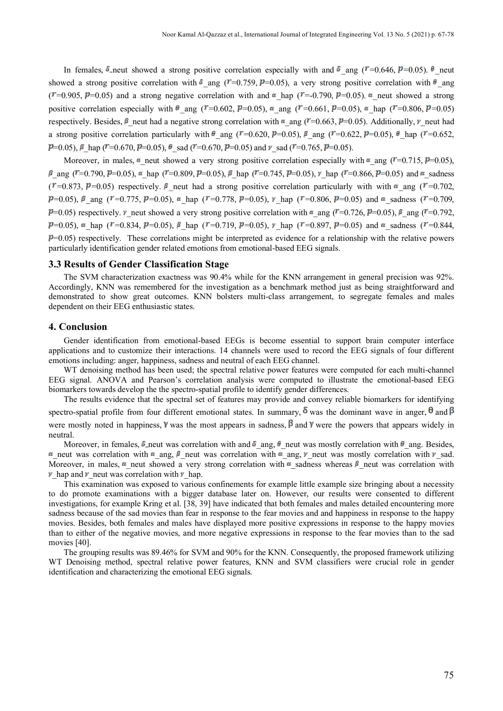In females,  $\delta$ -neut showed a strong positive correlation especially with and  $\delta$  ang ( $\ell = 0.646$ ,  $\ell = 0.05$ ).  $\theta$  neut showed a strong positive correlation with  $\delta$  ang ( $T=0.759$ ,  $\bar{p}=0.05$ ), a very strong positive correlation with  $\theta$  ang ( $T=0.905$ ,  $P=0.05$ ) and a strong negative correlation with and  $\alpha$  hap ( $T=0.790$ ,  $P=0.05$ ).  $\alpha$  neut showed a strong positive correlation especially with  $\theta$  ang ( $\tau = 0.602$ ,  $\theta = 0.05$ ),  $\alpha$  ang ( $\tau = 0.661$ ,  $\theta = 0.05$ ),  $\alpha$  hap ( $\tau = 0.806$ ,  $\theta = 0.05$ ) respectively. Besides,  $\beta$  neut had a negative strong correlation with  $\alpha$  ang ( $\tau$ =0.663,  $\beta$ =0.05). Additionally,  $\nu$  neut had a strong positive correlation particularly with  $\theta$  ang ( $\tau$ =0.620,  $\mu$ =0.05),  $\beta$  ang ( $\tau$ =0.622,  $\mu$ =0.05),  $\theta$  hap ( $\tau$ =0.652,  $\mathbf{P}$ =0.05),  $\beta$  hap ( $\mathbf{P}$ =0.670,  $\mathbf{P}$ =0.05),  $\theta$  sad ( $\mathbf{P}$ =0.670,  $\mathbf{P}$ =0.05) and  $\gamma$  sad ( $\mathbf{P}$ =0.765,  $\mathbf{P}$ =0.05).

Moreover, in males,  $\alpha$  neut showed a very strong positive correlation especially with  $\alpha$  ang ( $\ell = 0.715$ ,  $\ell = 0.05$ ),  $\beta$  ang ( $\ell = 0.790$ ,  $\ell = 0.05$ ),  $\alpha$  hap ( $\ell = 0.809$ ,  $\ell = 0.05$ ),  $\beta$  hap ( $\ell = 0.745$ ,  $\ell = 0.05$ ),  $\nu$  hap ( $\ell = 0.866$ ,  $\ell = 0.05$ ) and  $\alpha$  sadness  $({\degree}$  =0.873, P=0.05) respectively.  ${\degree}$  neut had a strong positive correlation particularly with with  ${\degree}$  ang ( ${\degree}$ =0.702,  $\mathbf{P}$ =0.05),  $\beta$  ang ( $\mathbf{r}$ =0.775,  $\mathbf{P}$ =0.05),  $\alpha$  hap ( $\mathbf{r}$ =0.778,  $\mathbf{P}$ =0.05),  $\gamma$  hap ( $\mathbf{r}$ =0.806,  $\mathbf{P}$ =0.05) and  $\alpha$  sadness ( $\mathbf{r}$ =0.709,  $\mathbb{P}=0.05$ ) respectively.  $\mathbb{V}$  neut showed a very strong positive correlation with  $\mathbb{I}$  ang ( $\mathbb{I}$ =0.726,  $\mathbb{P}=0.05$ ),  $\mathbb{I}$  ang ( $\mathbb{I}$ =0.792,  $\mathcal{P}=0.05$ ),  $\alpha$  hap ( $\mathcal{F}=0.834$ ,  $\mathcal{P}=0.05$ ),  $\beta$  hap ( $\mathcal{F}=0.719$ ,  $\mathcal{P}=0.05$ ),  $\gamma$  hap ( $\mathcal{F}=0.897$ ,  $\mathcal{P}=0.05$ ) and  $\alpha$  sadness ( $\mathcal{F}=0.844$ ,  $P=0.05$ ) respectively. These correlations might be interpreted as evidence for a relationship with the relative powers particularly identification gender related emotions from emotional-based EEG signals.

# **3.3 Results of Gender Classification Stage**

The SVM characterization exactness was 90.4% while for the KNN arrangement in general precision was 92%. Accordingly, KNN was remembered for the investigation as a benchmark method just as being straightforward and demonstrated to show great outcomes. KNN bolsters multi-class arrangement, to segregate females and males dependent on their EEG enthusiastic states.

# **4. Conclusion**

Gender identification from emotional-based EEGs is become essential to support brain computer interface applications and to customize their interactions. 14 channels were used to record the EEG signals of four different emotions including: anger, happiness, sadness and neutral of each EEG channel.

WT denoising method has been used; the spectral relative power features were computed for each multi-channel EEG signal. ANOVA and Pearson's correlation analysis were computed to illustrate the emotional-based EEG biomarkers towards develop the the spectro-spatial profile to identify gender differences.

The results evidence that the spectral set of features may provide and convey reliable biomarkers for identifying spectro-spatial profile from four different emotional states. In summary,  $\delta$  was the dominant wave in anger,  $\theta$  and  $\beta$ were mostly noted in happiness, Y was the most appears in sadness,  $\beta$  and Y were the powers that appears widely in neutral.

Moreover, in females,  $\delta$ -neut was correlation with and  $\delta$  ang,  $\theta$  neut was mostly correlation with  $\theta$  ang. Besides,  $\alpha$  neut was correlation with  $\alpha$  ang,  $\beta$  neut was correlation with  $\alpha$  ang,  $\gamma$  neut was mostly correlation with  $\gamma$  sad. Moreover, in males,  $\alpha$  neut showed a very strong correlation with  $\alpha$  sadness whereas  $\beta$  neut was correlation with  $\n *r*$  hap and  *neut was correlation with*  $*r*$  *hap.* 

This examination was exposed to various confinements for example little example size bringing about a necessity to do promote examinations with a bigger database later on. However, our results were consented to different investigations, for example Kring et al. [\[38,](#page-11-14) [39\]](#page-11-15) have indicated that both females and males detailed encountering more sadness because of the sad movies than fear in response to the fear movies and and happiness in response to the happy movies. Besides, both females and males have displayed more positive expressions in response to the happy movies than to either of the negative movies, and more negative expressions in response to the fear movies than to the sad movies [\[40\]](#page-11-16).

The grouping results was 89.46% for SVM and 90% for the KNN. Consequently, the proposed framework utilizing WT Denoising method, spectral relative power features, KNN and SVM classifiers were crucial role in gender identification and characterizing the emotional EEG signals.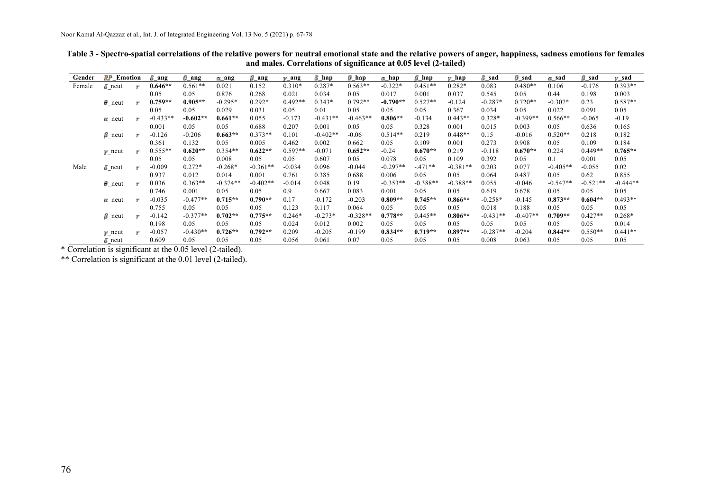| Gender | RP<br>Emotion     |           | $\delta$ ang | $\theta$ ang | $\alpha$ ang | $\beta$ ang | ang       | $\delta$ hap | $\theta$ hap | a hap      | В<br>hap   | hap<br>w   | 5 sad      | $\theta$ sad | $\alpha$ sad | β sad      | y sad      |
|--------|-------------------|-----------|--------------|--------------|--------------|-------------|-----------|--------------|--------------|------------|------------|------------|------------|--------------|--------------|------------|------------|
| Female | $\delta$ neut     | <b>SP</b> | $0.646**$    | $0.561**$    | 0.021        | 0.152       | $0.310*$  | $0.287*$     | $0.563**$    | $-0.322*$  | $0.451**$  | $0.282*$   | 0.083      | $0.480**$    | 0.106        | $-0.176$   | $0.393**$  |
|        |                   |           | 0.05         | 0.05         | 0.876        | 0.268       | 0.021     | 0.034        | 0.05         | 0.017      | 0.001      | 0.037      | 0.545      | 0.05         | 0.44         | 0.198      | 0.003      |
|        | $\theta$ neut     | q.        | $0.759**$    | $0.905**$    | $-0.295*$    | $0.292*$    | $0.492**$ | $0.343*$     | $0.792**$    | $-0.790**$ | $0.527**$  | $-0.124$   | $-0.287*$  | $0.720**$    | $-0.307*$    | 0.23       | $0.587**$  |
|        |                   |           | 0.05         | 0.05         | 0.029        | 0.031       | 0.05      | 0.01         | 0.05         | 0.05       | 0.05       | 0.367      | 0.034      | 0.05         | 0.022        | 0.091      | 0.05       |
|        | $\alpha$ neut     | q.        | $-0.433**$   | $-0.602**$   | $0.661**$    | 0.055       | $-0.173$  | $-0.431**$   | $-0.463**$   | $0.806**$  | $-0.134$   | $0.443**$  | $0.328*$   | $-0.399**$   | $0.566**$    | $-0.065$   | $-0.19$    |
|        |                   |           | 0.001        | 0.05         | 0.05         | 0.688       | 0.207     | 0.001        | 0.05         | 0.05       | 0.328      | 0.001      | 0.015      | 0.003        | 0.05         | 0.636      | 0.165      |
|        | $\beta$ neut      | q.        | $-0.126$     | $-0.206$     | $0.663**$    | $0.373**$   | 0.101     | $-0.402**$   | $-0.06$      | $0.514**$  | 0.219      | $0.448**$  | 0.15       | $-0.016$     | $0.520**$    | 0.218      | 0.182      |
|        |                   |           | 0.361        | 0.132        | 0.05         | 0.005       | 0.462     | 0.002        | 0.662        | 0.05       | 0.109      | 0.001      | 0.273      | 0.908        | 0.05         | 0.109      | 0.184      |
|        | $\gamma$ neut     | SP.       | $0.555**$    | $0.620**$    | $0.354**$    | $0.622**$   | $0.597**$ | $-0.071$     | $0.652**$    | $-0.24$    | $0.670**$  | 0.219      | $-0.118$   | $0.670**$    | 0.224        | $0.449**$  | $0.765**$  |
|        |                   |           | 0.05         | 0.05         | 0.008        | 0.05        | 0.05      | 0.607        | 0.05         | 0.078      | 0.05       | 0.109      | 0.392      | 0.05         | 0.1          | 0.001      | 0.05       |
| Male   | $\delta$ neut     | <b>SP</b> | $-0.009$     | $0.272*$     | $-0.268*$    | $-0.361**$  | $-0.034$  | 0.096        | $-0.044$     | $-0.297**$ | $-.471**$  | $-0.381**$ | 0.203      | 0.077        | $-0.405**$   | $-0.055$   | 0.02       |
|        |                   |           | 0.937        | 0.012        | 0.014        | 0.001       | 0.761     | 0.385        | 0.688        | 0.006      | 0.05       | 0.05       | 0.064      | 0.487        | 0.05         | 0.62       | 0.855      |
|        | $\theta$ neut     | q.        | 0.036        | $0.363**$    | $-0.374**$   | $-0.402**$  | $-0.014$  | 0.048        | 0.19         | $-0.353**$ | $-0.388**$ | $-0.388**$ | 0.055      | $-0.046$     | $-0.547**$   | $-0.521**$ | $-0.444**$ |
|        |                   |           | 0.746        | 0.001        | 0.05         | 0.05        | 0.9       | 0.667        | 0.083        | 0.001      | 0.05       | 0.05       | 0.619      | 0.678        | 0.05         | 0.05       | 0.05       |
|        | $\alpha$ neut     | 550       | $-0.035$     | $-0.477**$   | $0.715**$    | $0.790**$   | 0.17      | $-0.172$     | $-0.203$     | $0.809**$  | $0.745**$  | $0.866**$  | $-0.258*$  | $-0.145$     | $0.873**$    | $0.604**$  | $0.493**$  |
|        |                   |           | 0.755        | 0.05         | 0.05         | 0.05        | 0.123     | 0.117        | 0.064        | 0.05       | 0.05       | 0.05       | 0.018      | 0.188        | 0.05         | 0.05       | 0.05       |
|        | $\beta$ neut      | 652       | $-0.142$     | $-0.377**$   | $0.702**$    | $0.775**$   | $0.246*$  | $-0.273*$    | $-0.328**$   | $0.778**$  | $0.445**$  | $0.806**$  | $-0.431**$ | $-0.407**$   | $0.709**$    | $0.427**$  | $0.268*$   |
|        |                   |           | 0.198        | 0.05         | 0.05         | 0.05        | 0.024     | 0.012        | 0.002        | 0.05       | 0.05       | 0.05       | 0.05       | 0.05         | 0.05         | 0.05       | 0.014      |
|        | $\mathbf{y}$ neut | ge.       | $-0.057$     | $-0.430**$   | $0.726**$    | $0.792**$   | 0.209     | $-0.205$     | $-0.199$     | $0.834**$  | $0.719**$  | $0.897**$  | $-0.287**$ | $-0.204$     | $0.844**$    | $0.550**$  | $0.441**$  |
|        | $\delta$ neut     |           | 0.609        | 0.05         | 0.05         | 0.05        | 0.056     | 0.061        | 0.07         | 0.05       | 0.05       | 0.05       | 0.008      | 0.063        | 0.05         | 0.05       | 0.05       |

**Table 3 - Spectro-spatial correlations of the relative powers for neutral emotional state and the relative powers of anger, happiness, sadness emotions for females and males. Correlations of significance at 0.05 level (2-tailed)**

\* Correlation is significant at the 0.05 level (2-tailed).

\*\* Correlation is significant at the 0.01 level (2-tailed).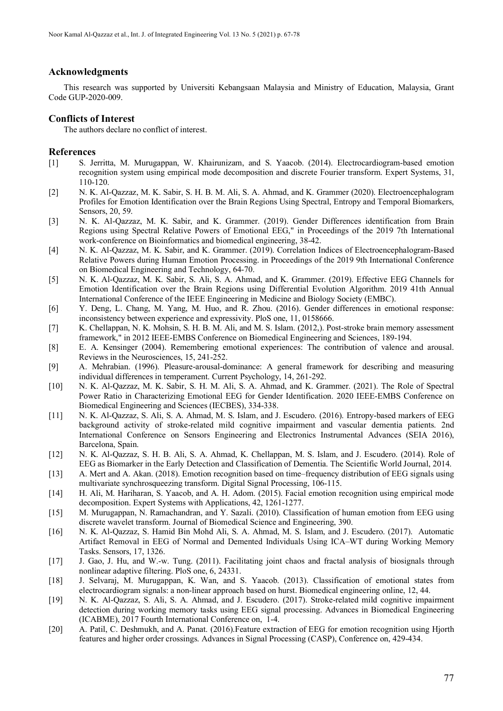# **Acknowledgments**

This research was supported by Universiti Kebangsaan Malaysia and Ministry of Education, Malaysia, Grant Code GUP-2020-009.

# **Conflicts of Interest**

The authors declare no conflict of interest.

### **References**

- <span id="page-10-0"></span>[1] S. Jerritta, M. Murugappan, W. Khairunizam, and S. Yaacob. (2014). Electrocardiogram-based emotion recognition system using empirical mode decomposition and discrete Fourier transform. Expert Systems, 31, 110-120.
- <span id="page-10-1"></span>[2] N. K. Al-Qazzaz, M. K. Sabir, S. H. B. M. Ali, S. A. Ahmad, and K. Grammer (2020). Electroencephalogram Profiles for Emotion Identification over the Brain Regions Using Spectral, Entropy and Temporal Biomarkers, Sensors, 20, 59.
- <span id="page-10-2"></span>[3] N. K. Al-Qazzaz, M. K. Sabir, and K. Grammer. (2019). Gender Differences identification from Brain Regions using Spectral Relative Powers of Emotional EEG," in Proceedings of the 2019 7th International work-conference on Bioinformatics and biomedical engineering, 38-42.
- [4] N. K. Al-Qazzaz, M. K. Sabir, and K. Grammer. (2019). Correlation Indices of Electroencephalogram-Based Relative Powers during Human Emotion Processing. in Proceedings of the 2019 9th International Conference on Biomedical Engineering and Technology, 64-70.
- [5] N. K. Al-Qazzaz, M. K. Sabir, S. Ali, S. A. Ahmad, and K. Grammer. (2019). Effective EEG Channels for Emotion Identification over the Brain Regions using Differential Evolution Algorithm. 2019 41th Annual International Conference of the IEEE Engineering in Medicine and Biology Society (EMBC).
- <span id="page-10-3"></span>[6] Y. Deng, L. Chang, M. Yang, M. Huo, and R. Zhou. (2016). Gender differences in emotional response: inconsistency between experience and expressivity. PloS one, 11, 0158666.
- <span id="page-10-4"></span>[7] K. Chellappan, N. K. Mohsin, S. H. B. M. Ali, and M. S. Islam. (2012,). Post-stroke brain memory assessment framework," in 2012 IEEE-EMBS Conference on Biomedical Engineering and Sciences, 189-194.
- <span id="page-10-5"></span>[8] E. A. Kensinger (2004). Remembering emotional experiences: The contribution of valence and arousal. Reviews in the Neurosciences, 15, 241-252.
- <span id="page-10-6"></span>[9] A. Mehrabian. (1996). Pleasure-arousal-dominance: A general framework for describing and measuring individual differences in temperament. Current Psychology, 14, 261-292.
- <span id="page-10-8"></span><span id="page-10-7"></span>[10] N. K. Al-Qazzaz, M. K. Sabir, S. H. M. Ali, S. A. Ahmad, and K. Grammer. (2021). The Role of Spectral Power Ratio in Characterizing Emotional EEG for Gender Identification. 2020 IEEE-EMBS Conference on Biomedical Engineering and Sciences (IECBES), 334-338.
- [11] N. K. Al-Qazzaz, S. Ali, S. A. Ahmad, M. S. Islam, and J. Escudero. (2016). Entropy-based markers of EEG background activity of stroke-related mild cognitive impairment and vascular dementia patients. 2nd International Conference on Sensors Engineering and Electronics Instrumental Advances (SEIA 2016), Barcelona, Spain.
- <span id="page-10-9"></span>[12] N. K. Al-Qazzaz, S. H. B. Ali, S. A. Ahmad, K. Chellappan, M. S. Islam, and J. Escudero. (2014). Role of EEG as Biomarker in the Early Detection and Classification of Dementia. The Scientific World Journal, 2014.
- <span id="page-10-10"></span>[13] A. Mert and A. Akan. (2018). Emotion recognition based on time–frequency distribution of EEG signals using multivariate synchrosqueezing transform. Digital Signal Processing, 106-115.
- <span id="page-10-11"></span>[14] H. Ali, M. Hariharan, S. Yaacob, and A. H. Adom. (2015). Facial emotion recognition using empirical mode decomposition. Expert Systems with Applications, 42, 1261-1277.
- <span id="page-10-12"></span>[15] M. Murugappan, N. Ramachandran, and Y. Sazali. (2010). Classification of human emotion from EEG using discrete wavelet transform. Journal of Biomedical Science and Engineering, 390.
- <span id="page-10-13"></span>[16] N. K. Al-Qazzaz, S. Hamid Bin Mohd Ali, S. A. Ahmad, M. S. Islam, and J. Escudero. (2017). Automatic Artifact Removal in EEG of Normal and Demented Individuals Using ICA–WT during Working Memory Tasks. Sensors, 17, 1326.
- <span id="page-10-14"></span>[17] J. Gao, J. Hu, and W.-w. Tung. (2011). Facilitating joint chaos and fractal analysis of biosignals through nonlinear adaptive filtering. PloS one, 6, 24331.
- <span id="page-10-15"></span>[18] J. Selvaraj, M. Murugappan, K. Wan, and S. Yaacob. (2013). Classification of emotional states from electrocardiogram signals: a non-linear approach based on hurst. Biomedical engineering online, 12, 44.
- <span id="page-10-16"></span>[19] N. K. Al-Qazzaz, S. Ali, S. A. Ahmad, and J. Escudero. (2017). Stroke-related mild cognitive impairment detection during working memory tasks using EEG signal processing. Advances in Biomedical Engineering (ICABME), 2017 Fourth International Conference on, 1-4.
- <span id="page-10-17"></span>[20] A. Patil, C. Deshmukh, and A. Panat. (2016).Feature extraction of EEG for emotion recognition using Hjorth features and higher order crossings. Advances in Signal Processing (CASP), Conference on, 429-434.